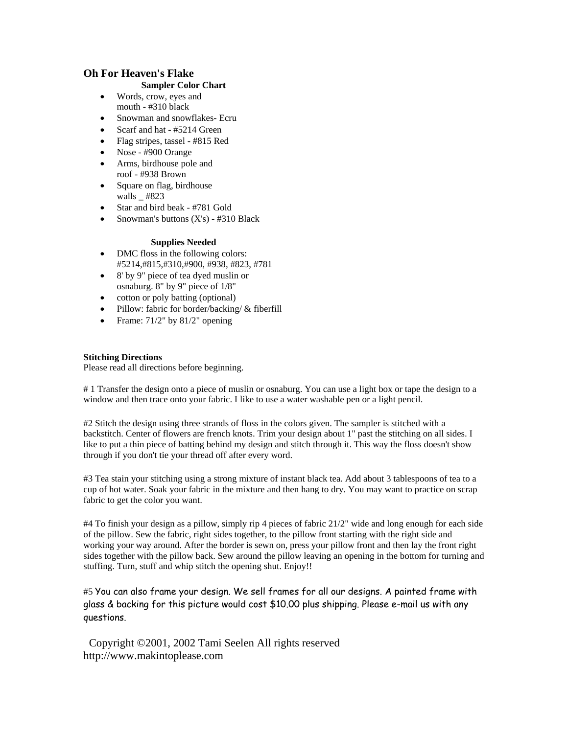## **Oh For Heaven's Flake**

## **Sampler Color Chart**

- Words, crow, eyes and mouth - #310 black
- Snowman and snowflakes- Ecru
- Scarf and hat #5214 Green
- Flag stripes, tassel #815 Red
- Nose #900 Orange
- Arms, birdhouse pole and roof - #938 Brown
- Square on flag, birdhouse walls #823
- Star and bird beak #781 Gold
- Snowman's buttons (X's) #310 Black

## **Supplies Needed**

- DMC floss in the following colors: #5214,#815,#310,#900, #938, #823, #781
- 8' by 9" piece of tea dyed muslin or osnaburg. 8" by 9" piece of 1/8"
- cotton or poly batting (optional)
- Pillow: fabric for border/backing/  $&$  fiberfill
- Frame:  $71/2$ " by  $81/2$ " opening

## **Stitching Directions**

Please read all directions before beginning.

# 1 Transfer the design onto a piece of muslin or osnaburg. You can use a light box or tape the design to a window and then trace onto your fabric. I like to use a water washable pen or a light pencil.

#2 Stitch the design using three strands of floss in the colors given. The sampler is stitched with a backstitch. Center of flowers are french knots. Trim your design about 1" past the stitching on all sides. I like to put a thin piece of batting behind my design and stitch through it. This way the floss doesn't show through if you don't tie your thread off after every word.

#3 Tea stain your stitching using a strong mixture of instant black tea. Add about 3 tablespoons of tea to a cup of hot water. Soak your fabric in the mixture and then hang to dry. You may want to practice on scrap fabric to get the color you want.

#4 To finish your design as a pillow, simply rip 4 pieces of fabric 21/2" wide and long enough for each side of the pillow. Sew the fabric, right sides together, to the pillow front starting with the right side and working your way around. After the border is sewn on, press your pillow front and then lay the front right sides together with the pillow back. Sew around the pillow leaving an opening in the bottom for turning and stuffing. Turn, stuff and whip stitch the opening shut. Enjoy!!

#5 You can also frame your design. We sell frames for all our designs. A painted frame with glass & backing for this picture would cost \$10.00 plus shipping. Please e-mail us with any questions.

 Copyright ©2001, 2002 Tami Seelen All rights reserved http://www.makintoplease.com